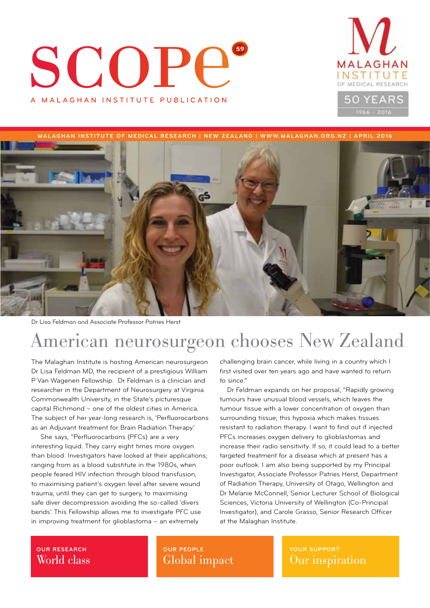## SCOPE **59** A MALAGHAN INSTITUTE PUBLICATION



**MALAGHAN INSTITUTE OF MEDICAL RESEARCH | NEW ZEALAND | WWW.MALAGHAN.ORG.NZ | APRIL 2016**



Dr Lisa Feldman and Associate Professor Patries Herst

## American neurosurgeon chooses New Zealand

The Malaghan Institute is hosting American neurosurgeon Dr Lisa Feldman MD, the recipient of a prestigious William P Van Wagenen Fellowship. Dr Feldman is a clinician and researcher in the Department of Neurosurgery at Virginia Commonwealth University, in the State's picturesque capital Richmond – one of the oldest cities in America. The subject of her year-long research is, 'Perfluorocarbons as an Adjuvant treatment for Brain Radiation Therapy.'

 She says, "Perfluorocarbons (PFCs) are a very interesting liquid. They carry eight times more oxygen than blood. Investigators have looked at their applications; ranging from as a blood substitute in the 1980s, when people feared HIV infection through blood transfusion, to maximising patient's oxygen level after severe wound trauma, until they can get to surgery, to maximising safe diver decompression avoiding the so-called 'divers bends'. This Fellowship allows me to investigate PFC use in improving treatment for glioblastoma – an extremely

challenging brain cancer, while living in a country which I first visited over ten years ago and have wanted to return to since."

Dr Feldman expands on her proposal, "Rapidly growing tumours have unusual blood vessels, which leaves the tumour tissue with a lower concentration of oxygen than surrounding tissue; this hypoxia which makes tissues resistant to radiation therapy. I want to find out if injected PFCs increases oxygen delivery to glioblastomas and increase their radio sensitivity. If so, it could lead to a better targeted treatment for a disease which at present has a poor outlook. I am also being supported by my Principal Investigator, Associate Professor Patries Herst, Department of Radiation Therapy, University of Otago, Wellington and Dr Melanie McConnell, Senior Lecturer School of Biological Sciences, Victoria University of Wellington (Co-Principal Investigator), and Carole Grasso, Senior Research Officer at the Malaghan Institute.

### **OUR RESEARCH** World class

**OUR PEOPLE** Global impact **YOUR SUPPORT** Our inspiration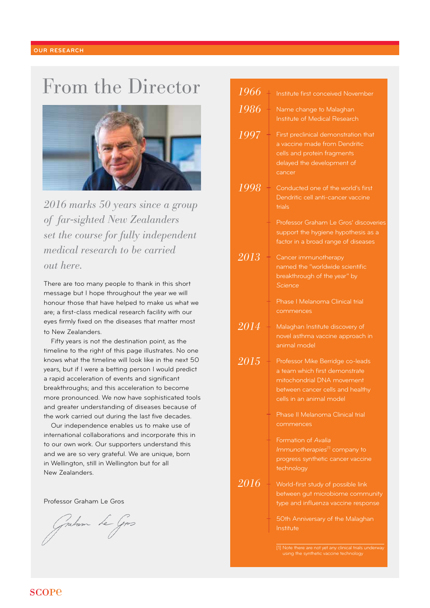## From the Director



*2016 marks 50 years since a group of far-sighted New Zealanders set the course for fully independent medical research to be carried out here.*

There are too many people to thank in this short message but I hope throughout the year we will honour those that have helped to make us what we are; a first-class medical research facility with our eyes firmly fixed on the diseases that matter most to New Zealanders.

Fifty years is not the destination point, as the timeline to the right of this page illustrates. No one knows what the timeline will look like in the next 50 years, but if I were a betting person I would predict a rapid acceleration of events and significant breakthroughs; and this acceleration to become more pronounced. We now have sophisticated tools and greater understanding of diseases because of the work carried out during the last five decades.

Our independence enables us to make use of international collaborations and incorporate this in to our own work. Our supporters understand this and we are so very grateful. We are unique, born in Wellington, still in Wellington but for all New Zealanders.

Professor Graham Le Gros

salam Le Gros

| <b>Institute first conceived November</b><br>Name change to Malaghan<br>Institute of Medical Research<br>First preclinical demonstration that<br>a vaccine made from Dendritic<br>cells and protein fragments<br>delayed the development of<br>cancer<br>Conducted one of the world's first<br>Dendritic cell anti-cancer vaccine<br>trials<br>Professor Graham Le Gros' discoveries<br>support the hygiene hypothesis as a<br>factor in a broad range of diseases<br>Cancer immunotherapy<br>named the "worldwide scientific<br>breakthrough of the year" by<br>Science<br>Phase   Melanoma Clinical trial<br>commences<br>2014<br>Malaghan Institute discovery of<br>novel asthma vaccine approach in<br>animal model<br>2015<br>Professor Mike Berridge co-leads<br>a team which first demonstrate<br>mitochondrial DNA movement<br>between cancer cells and healthy<br>cells in an animal model<br>Phase II Melanoma Clinical trial<br>commences<br>Formation of Avalia<br>Immunotherapies <sup>[1]</sup> company to<br>progress synthetic cancer vaccine<br>technology<br>World-first study of possible link<br>between gut microbiome community<br>type and influenza vaccine response<br>50th Anniversary of the Malaghan<br>Institute<br>[1] Note there are not yet any clinical trials underway<br>using the synthetic vaccine technology |                                         |  |
|----------------------------------------------------------------------------------------------------------------------------------------------------------------------------------------------------------------------------------------------------------------------------------------------------------------------------------------------------------------------------------------------------------------------------------------------------------------------------------------------------------------------------------------------------------------------------------------------------------------------------------------------------------------------------------------------------------------------------------------------------------------------------------------------------------------------------------------------------------------------------------------------------------------------------------------------------------------------------------------------------------------------------------------------------------------------------------------------------------------------------------------------------------------------------------------------------------------------------------------------------------------------------------------------------------------------------------------------------|-----------------------------------------|--|
|                                                                                                                                                                                                                                                                                                                                                                                                                                                                                                                                                                                                                                                                                                                                                                                                                                                                                                                                                                                                                                                                                                                                                                                                                                                                                                                                                    | 1966                                    |  |
|                                                                                                                                                                                                                                                                                                                                                                                                                                                                                                                                                                                                                                                                                                                                                                                                                                                                                                                                                                                                                                                                                                                                                                                                                                                                                                                                                    | 1986                                    |  |
|                                                                                                                                                                                                                                                                                                                                                                                                                                                                                                                                                                                                                                                                                                                                                                                                                                                                                                                                                                                                                                                                                                                                                                                                                                                                                                                                                    |                                         |  |
|                                                                                                                                                                                                                                                                                                                                                                                                                                                                                                                                                                                                                                                                                                                                                                                                                                                                                                                                                                                                                                                                                                                                                                                                                                                                                                                                                    | 1997                                    |  |
|                                                                                                                                                                                                                                                                                                                                                                                                                                                                                                                                                                                                                                                                                                                                                                                                                                                                                                                                                                                                                                                                                                                                                                                                                                                                                                                                                    |                                         |  |
|                                                                                                                                                                                                                                                                                                                                                                                                                                                                                                                                                                                                                                                                                                                                                                                                                                                                                                                                                                                                                                                                                                                                                                                                                                                                                                                                                    |                                         |  |
|                                                                                                                                                                                                                                                                                                                                                                                                                                                                                                                                                                                                                                                                                                                                                                                                                                                                                                                                                                                                                                                                                                                                                                                                                                                                                                                                                    |                                         |  |
|                                                                                                                                                                                                                                                                                                                                                                                                                                                                                                                                                                                                                                                                                                                                                                                                                                                                                                                                                                                                                                                                                                                                                                                                                                                                                                                                                    | 1998                                    |  |
|                                                                                                                                                                                                                                                                                                                                                                                                                                                                                                                                                                                                                                                                                                                                                                                                                                                                                                                                                                                                                                                                                                                                                                                                                                                                                                                                                    |                                         |  |
|                                                                                                                                                                                                                                                                                                                                                                                                                                                                                                                                                                                                                                                                                                                                                                                                                                                                                                                                                                                                                                                                                                                                                                                                                                                                                                                                                    |                                         |  |
|                                                                                                                                                                                                                                                                                                                                                                                                                                                                                                                                                                                                                                                                                                                                                                                                                                                                                                                                                                                                                                                                                                                                                                                                                                                                                                                                                    |                                         |  |
|                                                                                                                                                                                                                                                                                                                                                                                                                                                                                                                                                                                                                                                                                                                                                                                                                                                                                                                                                                                                                                                                                                                                                                                                                                                                                                                                                    |                                         |  |
|                                                                                                                                                                                                                                                                                                                                                                                                                                                                                                                                                                                                                                                                                                                                                                                                                                                                                                                                                                                                                                                                                                                                                                                                                                                                                                                                                    |                                         |  |
|                                                                                                                                                                                                                                                                                                                                                                                                                                                                                                                                                                                                                                                                                                                                                                                                                                                                                                                                                                                                                                                                                                                                                                                                                                                                                                                                                    | $2\overline{0}\overline{1}\overline{3}$ |  |
|                                                                                                                                                                                                                                                                                                                                                                                                                                                                                                                                                                                                                                                                                                                                                                                                                                                                                                                                                                                                                                                                                                                                                                                                                                                                                                                                                    |                                         |  |
|                                                                                                                                                                                                                                                                                                                                                                                                                                                                                                                                                                                                                                                                                                                                                                                                                                                                                                                                                                                                                                                                                                                                                                                                                                                                                                                                                    |                                         |  |
|                                                                                                                                                                                                                                                                                                                                                                                                                                                                                                                                                                                                                                                                                                                                                                                                                                                                                                                                                                                                                                                                                                                                                                                                                                                                                                                                                    |                                         |  |
|                                                                                                                                                                                                                                                                                                                                                                                                                                                                                                                                                                                                                                                                                                                                                                                                                                                                                                                                                                                                                                                                                                                                                                                                                                                                                                                                                    |                                         |  |
|                                                                                                                                                                                                                                                                                                                                                                                                                                                                                                                                                                                                                                                                                                                                                                                                                                                                                                                                                                                                                                                                                                                                                                                                                                                                                                                                                    |                                         |  |
|                                                                                                                                                                                                                                                                                                                                                                                                                                                                                                                                                                                                                                                                                                                                                                                                                                                                                                                                                                                                                                                                                                                                                                                                                                                                                                                                                    |                                         |  |
|                                                                                                                                                                                                                                                                                                                                                                                                                                                                                                                                                                                                                                                                                                                                                                                                                                                                                                                                                                                                                                                                                                                                                                                                                                                                                                                                                    |                                         |  |
|                                                                                                                                                                                                                                                                                                                                                                                                                                                                                                                                                                                                                                                                                                                                                                                                                                                                                                                                                                                                                                                                                                                                                                                                                                                                                                                                                    |                                         |  |
|                                                                                                                                                                                                                                                                                                                                                                                                                                                                                                                                                                                                                                                                                                                                                                                                                                                                                                                                                                                                                                                                                                                                                                                                                                                                                                                                                    |                                         |  |
|                                                                                                                                                                                                                                                                                                                                                                                                                                                                                                                                                                                                                                                                                                                                                                                                                                                                                                                                                                                                                                                                                                                                                                                                                                                                                                                                                    |                                         |  |
|                                                                                                                                                                                                                                                                                                                                                                                                                                                                                                                                                                                                                                                                                                                                                                                                                                                                                                                                                                                                                                                                                                                                                                                                                                                                                                                                                    |                                         |  |
|                                                                                                                                                                                                                                                                                                                                                                                                                                                                                                                                                                                                                                                                                                                                                                                                                                                                                                                                                                                                                                                                                                                                                                                                                                                                                                                                                    |                                         |  |
|                                                                                                                                                                                                                                                                                                                                                                                                                                                                                                                                                                                                                                                                                                                                                                                                                                                                                                                                                                                                                                                                                                                                                                                                                                                                                                                                                    |                                         |  |
|                                                                                                                                                                                                                                                                                                                                                                                                                                                                                                                                                                                                                                                                                                                                                                                                                                                                                                                                                                                                                                                                                                                                                                                                                                                                                                                                                    |                                         |  |
|                                                                                                                                                                                                                                                                                                                                                                                                                                                                                                                                                                                                                                                                                                                                                                                                                                                                                                                                                                                                                                                                                                                                                                                                                                                                                                                                                    |                                         |  |
|                                                                                                                                                                                                                                                                                                                                                                                                                                                                                                                                                                                                                                                                                                                                                                                                                                                                                                                                                                                                                                                                                                                                                                                                                                                                                                                                                    |                                         |  |
|                                                                                                                                                                                                                                                                                                                                                                                                                                                                                                                                                                                                                                                                                                                                                                                                                                                                                                                                                                                                                                                                                                                                                                                                                                                                                                                                                    |                                         |  |
|                                                                                                                                                                                                                                                                                                                                                                                                                                                                                                                                                                                                                                                                                                                                                                                                                                                                                                                                                                                                                                                                                                                                                                                                                                                                                                                                                    |                                         |  |
|                                                                                                                                                                                                                                                                                                                                                                                                                                                                                                                                                                                                                                                                                                                                                                                                                                                                                                                                                                                                                                                                                                                                                                                                                                                                                                                                                    | 2016                                    |  |
|                                                                                                                                                                                                                                                                                                                                                                                                                                                                                                                                                                                                                                                                                                                                                                                                                                                                                                                                                                                                                                                                                                                                                                                                                                                                                                                                                    |                                         |  |
|                                                                                                                                                                                                                                                                                                                                                                                                                                                                                                                                                                                                                                                                                                                                                                                                                                                                                                                                                                                                                                                                                                                                                                                                                                                                                                                                                    |                                         |  |
|                                                                                                                                                                                                                                                                                                                                                                                                                                                                                                                                                                                                                                                                                                                                                                                                                                                                                                                                                                                                                                                                                                                                                                                                                                                                                                                                                    |                                         |  |
|                                                                                                                                                                                                                                                                                                                                                                                                                                                                                                                                                                                                                                                                                                                                                                                                                                                                                                                                                                                                                                                                                                                                                                                                                                                                                                                                                    |                                         |  |
|                                                                                                                                                                                                                                                                                                                                                                                                                                                                                                                                                                                                                                                                                                                                                                                                                                                                                                                                                                                                                                                                                                                                                                                                                                                                                                                                                    |                                         |  |
|                                                                                                                                                                                                                                                                                                                                                                                                                                                                                                                                                                                                                                                                                                                                                                                                                                                                                                                                                                                                                                                                                                                                                                                                                                                                                                                                                    |                                         |  |
|                                                                                                                                                                                                                                                                                                                                                                                                                                                                                                                                                                                                                                                                                                                                                                                                                                                                                                                                                                                                                                                                                                                                                                                                                                                                                                                                                    |                                         |  |

### **SCOPE**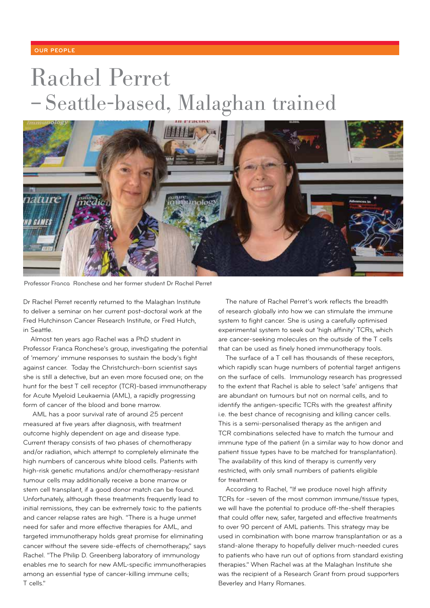### **OUR PEOPLE**

## Rachel Perret – Seattle-based, Malaghan trained



Professor Franca Ronchese and her former student Dr Rachel Perret

Dr Rachel Perret recently returned to the Malaghan Institute to deliver a seminar on her current post-doctoral work at the Fred Hutchinson Cancer Research Institute, or Fred Hutch, in Seattle.

Almost ten years ago Rachel was a PhD student in Professor Franca Ronchese's group, investigating the potential of 'memory' immune responses to sustain the body's fight against cancer. Today the Christchurch-born scientist says she is still a detective, but an even more focused one; on the hunt for the best T cell receptor (TCR)-based immunotherapy for Acute Myeloid Leukaemia (AML), a rapidly progressing form of cancer of the blood and bone marrow.

 AML has a poor survival rate of around 25 percent measured at five years after diagnosis, with treatment outcome highly dependent on age and disease type. Current therapy consists of two phases of chemotherapy and/or radiation, which attempt to completely eliminate the high numbers of cancerous white blood cells. Patients with high-risk genetic mutations and/or chemotherapy-resistant tumour cells may additionally receive a bone marrow or stem cell transplant, if a good donor match can be found. Unfortunately, although these treatments frequently lead to initial remissions, they can be extremely toxic to the patients and cancer relapse rates are high. "There is a huge unmet need for safer and more effective therapies for AML, and targeted immunotherapy holds great promise for eliminating cancer without the severe side-effects of chemotherapy," says Rachel. "The Philip D. Greenberg laboratory of immunology enables me to search for new AML-specific immunotherapies among an essential type of cancer-killing immune cells; T cells."

The nature of Rachel Perret's work reflects the breadth of research globally into how we can stimulate the immune system to fight cancer. She is using a carefully optimised experimental system to seek out 'high affinity' TCRs, which are cancer-seeking molecules on the outside of the T cells that can be used as finely honed immunotherapy tools.

The surface of a T cell has thousands of these receptors, which rapidly scan huge numbers of potential target antigens on the surface of cells. Immunology research has progressed to the extent that Rachel is able to select 'safe' antigens that are abundant on tumours but not on normal cells, and to identify the antigen-specific TCRs with the greatest affinity i.e. the best chance of recognising and killing cancer cells. This is a semi-personalised therapy as the antigen and TCR combinations selected have to match the tumour and immune type of the patient (in a similar way to how donor and patient tissue types have to be matched for transplantation). The availability of this kind of therapy is currently very restricted, with only small numbers of patients eligible for treatment.

According to Rachel, "If we produce novel high affinity TCRs for ~seven of the most common immune/tissue types, we will have the potential to produce off-the-shelf therapies that could offer new, safer, targeted and effective treatments to over 90 percent of AML patients. This strategy may be used in combination with bone marrow transplantation or as a stand-alone therapy to hopefully deliver much-needed cures to patients who have run out of options from standard existing therapies." When Rachel was at the Malaghan Institute she was the recipient of a Research Grant from proud supporters Beverley and Harry Romanes.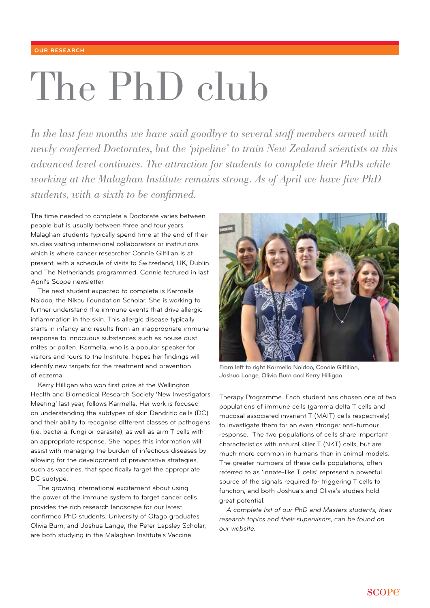### **OUR RESEARCH**

# The PhD club

In the last few months we have said goodbye to several staff members armed with *newly conferred Doctorates, but the 'pipeline' to train New Zealand scientists at this advanced level continues. The attraction for students to complete their PhDs while working at the Malaghan Institute remains strong. As of April we have five PhD students, with a sixth to be confirmed.*

The time needed to complete a Doctorate varies between people but is usually between three and four years. Malaghan students typically spend time at the end of their studies visiting international collaborators or institutions which is where cancer researcher Connie Gilfillan is at present; with a schedule of visits to Switzerland, UK, Dublin and The Netherlands programmed. Connie featured in last April's Scope newsletter.

The next student expected to complete is Karmella Naidoo, the Nikau Foundation Scholar. She is working to further understand the immune events that drive allergic inflammation in the skin. This allergic disease typically starts in infancy and results from an inappropriate immune response to innocuous substances such as house dust mites or pollen. Karmella, who is a popular speaker for visitors and tours to the Institute, hopes her findings will identify new targets for the treatment and prevention of eczema.

Kerry Hilligan who won first prize at the Wellington Health and Biomedical Research Society 'New Investigators Meeting' last year, follows Karmella. Her work is focused on understanding the subtypes of skin Dendritic cells (DC) and their ability to recognise different classes of pathogens (i.e. bacteria, fungi or parasite), as well as arm T cells with an appropriate response. She hopes this information will assist with managing the burden of infectious diseases by allowing for the development of preventative strategies, such as vaccines, that specifically target the appropriate DC subtype.

The growing international excitement about using the power of the immune system to target cancer cells provides the rich research landscape for our latest confirmed PhD students. University of Otago graduates Olivia Burn, and Joshua Lange, the Peter Lapsley Scholar, are both studying in the Malaghan Institute's Vaccine



From left to right Karmella Naidoo, Connie Gilfillan, Joshua Lange, Olivia Burn and Kerry Hilligan

Therapy Programme. Each student has chosen one of two populations of immune cells (gamma delta T cells and mucosal associated invariant T (MAIT) cells respectively) to investigate them for an even stronger anti-tumour response. The two populations of cells share important characteristics with natural killer T (NKT) cells, but are much more common in humans than in animal models. The greater numbers of these cells populations, often referred to as 'innate-like T cells', represent a powerful source of the signals required for triggering T cells to function, and both Joshua's and Olivia's studies hold great potential.

*A complete list of our PhD and Masters students, their research topics and their supervisors, can be found on our website.*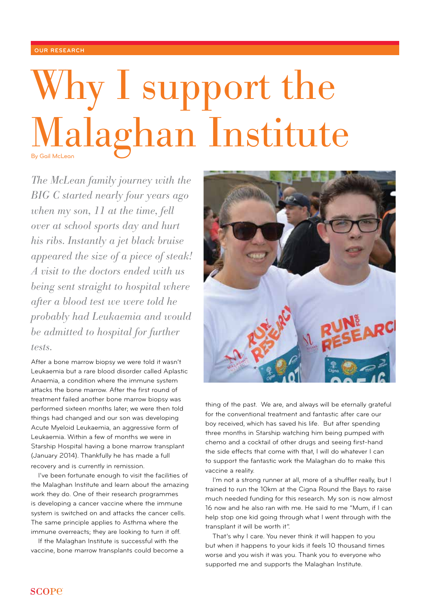### **OUR RESEARCH**

## Why I support the Malaghan Institute By Gail McLean

*The McLean family journey with the BIG C started nearly four years ago when my son, 11 at the time, fell over at school sports day and hurt his ribs. Instantly a jet black bruise appeared the size of a piece of steak! A visit to the doctors ended with us being sent straight to hospital where after a blood test we were told he probably had Leukaemia and would be admitted to hospital for further tests.* 

After a bone marrow biopsy we were told it wasn't Leukaemia but a rare blood disorder called Aplastic Anaemia, a condition where the immune system attacks the bone marrow. After the first round of treatment failed another bone marrow biopsy was performed sixteen months later; we were then told things had changed and our son was developing Acute Myeloid Leukaemia, an aggressive form of Leukaemia. Within a few of months we were in Starship Hospital having a bone marrow transplant (January 2014). Thankfully he has made a full recovery and is currently in remission.

I've been fortunate enough to visit the facilities of the Malaghan Institute and learn about the amazing work they do. One of their research programmes is developing a cancer vaccine where the immune system is switched on and attacks the cancer cells. The same principle applies to Asthma where the immune overreacts; they are looking to turn it off.

If the Malaghan Institute is successful with the vaccine, bone marrow transplants could become a



thing of the past. We are, and always will be eternally grateful for the conventional treatment and fantastic after care our boy received, which has saved his life. But after spending three months in Starship watching him being pumped with chemo and a cocktail of other drugs and seeing first-hand the side effects that come with that, I will do whatever I can to support the fantastic work the Malaghan do to make this vaccine a reality.

I'm not a strong runner at all, more of a shuffler really, but I trained to run the 10km at the Cigna Round the Bays to raise much needed funding for this research. My son is now almost 16 now and he also ran with me. He said to me "Mum, if I can help stop one kid going through what I went through with the transplant it will be worth it".

That's why I care. You never think it will happen to you but when it happens to your kids it feels 10 thousand times worse and you wish it was you. Thank you to everyone who supported me and supports the Malaghan Institute.